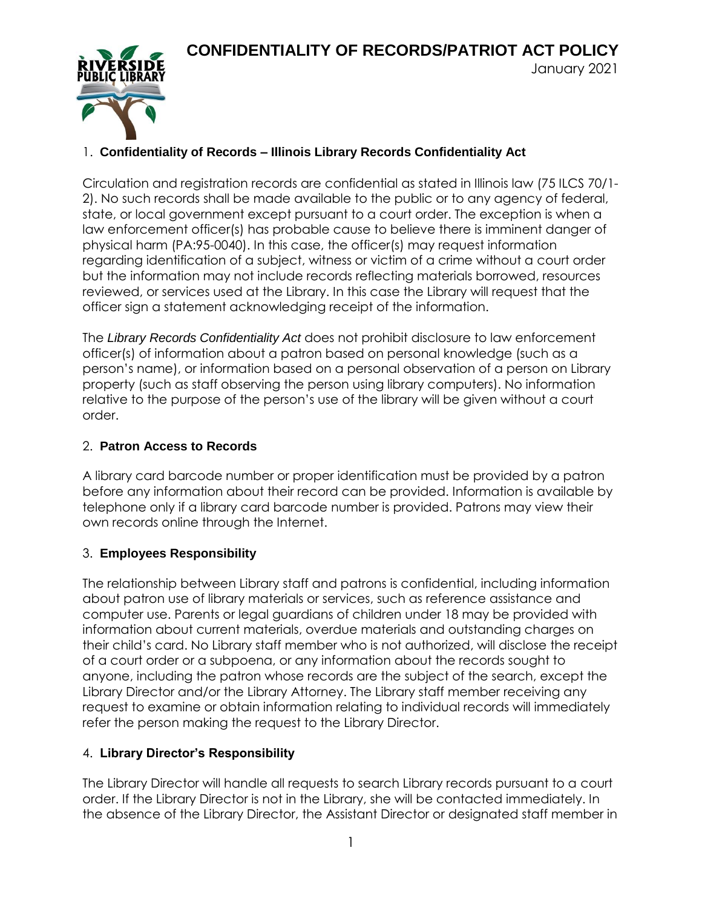January 2021



# 1. **Confidentiality of Records – Illinois Library Records Confidentiality Act**

Circulation and registration records are confidential as stated in Illinois law (75 ILCS 70/1- 2). No such records shall be made available to the public or to any agency of federal, state, or local government except pursuant to a court order. The exception is when a law enforcement officer(s) has probable cause to believe there is imminent danger of physical harm (PA:95-0040). In this case, the officer(s) may request information regarding identification of a subject, witness or victim of a crime without a court order but the information may not include records reflecting materials borrowed, resources reviewed, or services used at the Library. In this case the Library will request that the officer sign a statement acknowledging receipt of the information.

The *Library Records Confidentiality Act* does not prohibit disclosure to law enforcement officer(s) of information about a patron based on personal knowledge (such as a person's name), or information based on a personal observation of a person on Library property (such as staff observing the person using library computers). No information relative to the purpose of the person's use of the library will be given without a court order.

#### 2. **Patron Access to Records**

A library card barcode number or proper identification must be provided by a patron before any information about their record can be provided. Information is available by telephone only if a library card barcode number is provided. Patrons may view their own records online through the Internet.

## 3. **Employees Responsibility**

The relationship between Library staff and patrons is confidential, including information about patron use of library materials or services, such as reference assistance and computer use. Parents or legal guardians of children under 18 may be provided with information about current materials, overdue materials and outstanding charges on their child's card. No Library staff member who is not authorized, will disclose the receipt of a court order or a subpoena, or any information about the records sought to anyone, including the patron whose records are the subject of the search, except the Library Director and/or the Library Attorney. The Library staff member receiving any request to examine or obtain information relating to individual records will immediately refer the person making the request to the Library Director.

## 4. **Library Director's Responsibility**

The Library Director will handle all requests to search Library records pursuant to a court order. If the Library Director is not in the Library, she will be contacted immediately. In the absence of the Library Director, the Assistant Director or designated staff member in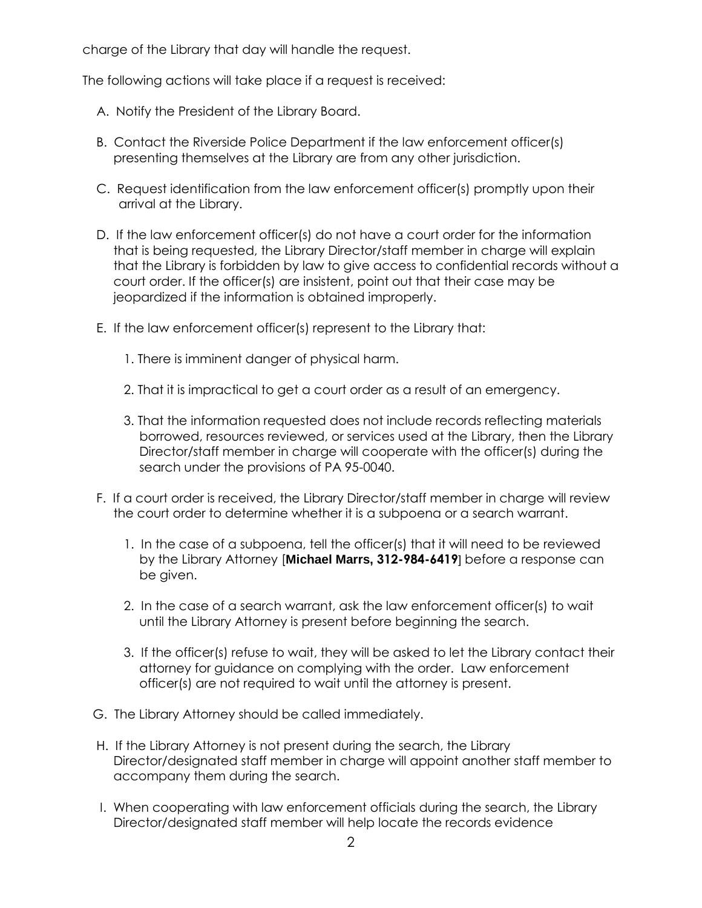charge of the Library that day will handle the request.

The following actions will take place if a request is received:

- A. Notify the President of the Library Board.
- B. Contact the Riverside Police Department if the law enforcement officer(s) presenting themselves at the Library are from any other jurisdiction.
- C. Request identification from the law enforcement officer(s) promptly upon their arrival at the Library.
- D. If the law enforcement officer(s) do not have a court order for the information that is being requested, the Library Director/staff member in charge will explain that the Library is forbidden by law to give access to confidential records without a court order. If the officer(s) are insistent, point out that their case may be jeopardized if the information is obtained improperly.
- E. If the law enforcement officer(s) represent to the Library that:
	- 1. There is imminent danger of physical harm.
	- 2. That it is impractical to get a court order as a result of an emergency.
	- 3. That the information requested does not include records reflecting materials borrowed, resources reviewed, or services used at the Library, then the Library Director/staff member in charge will cooperate with the officer(s) during the search under the provisions of PA 95-0040.
- F. If a court order is received, the Library Director/staff member in charge will review the court order to determine whether it is a subpoena or a search warrant.
	- 1. In the case of a subpoena, tell the officer(s) that it will need to be reviewed by the Library Attorney [**Michael Marrs, 312-984-6419**] before a response can be given.
	- 2. In the case of a search warrant, ask the law enforcement officer(s) to wait until the Library Attorney is present before beginning the search.
	- 3. If the officer(s) refuse to wait, they will be asked to let the Library contact their attorney for guidance on complying with the order. Law enforcement officer(s) are not required to wait until the attorney is present.
- G. The Library Attorney should be called immediately.
- H. If the Library Attorney is not present during the search, the Library Director/designated staff member in charge will appoint another staff member to accompany them during the search.
- I. When cooperating with law enforcement officials during the search, the Library Director/designated staff member will help locate the records evidence